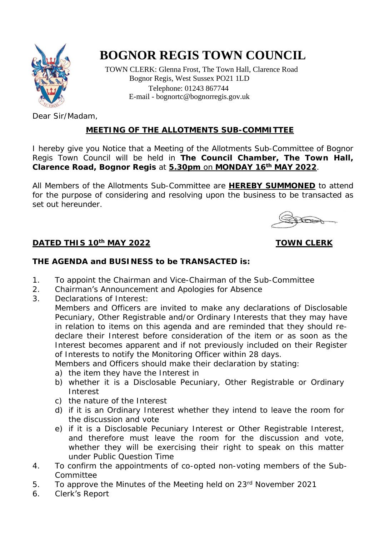

# **BOGNOR REGIS TOWN COUNCIL**

 TOWN CLERK: Glenna Frost, The Town Hall, Clarence Road Bognor Regis, West Sussex PO21 1LD Telephone: 01243 867744 E-mail - [bognortc@bognorregis.gov.uk](mailto:bognortc@bognorregis.gov.uk)

Dear Sir/Madam,

# **MEETING OF THE ALLOTMENTS SUB-COMMITTEE**

I hereby give you Notice that a Meeting of the Allotments Sub-Committee of Bognor Regis Town Council will be held in **The Council Chamber, The Town Hall, Clarence Road, Bognor Regis** at **5.30pm** on **MONDAY 16th MAY 2022**.

All Members of the Allotments Sub-Committee are **HEREBY SUMMONED** to attend for the purpose of considering and resolving upon the business to be transacted as set out hereunder.

# **DATED THIS 10th MAY 2022 TOWN CLERK**

**THE AGENDA and BUSINESS to be TRANSACTED is:**

- 1. To appoint the Chairman and Vice-Chairman of the Sub-Committee
- 2. Chairman's Announcement and Apologies for Absence
- 3. Declarations of Interest:

Members and Officers are invited to make any declarations of Disclosable Pecuniary, Other Registrable and/or Ordinary Interests that they may have in relation to items on this agenda and are reminded that they should redeclare their Interest before consideration of the item or as soon as the Interest becomes apparent and if not previously included on their Register of Interests to notify the Monitoring Officer within 28 days.

Members and Officers should make their declaration by stating:

- a) the item they have the Interest in
- b) whether it is a Disclosable Pecuniary, Other Registrable or Ordinary Interest
- c) the nature of the Interest
- d) if it is an Ordinary Interest whether they intend to leave the room for the discussion and vote
- e) if it is a Disclosable Pecuniary Interest or Other Registrable Interest, and therefore must leave the room for the discussion and vote, whether they will be exercising their right to speak on this matter under Public Question Time
- 4. To confirm the appointments of co-opted non-voting members of the Sub-Committee
- 5. To approve the Minutes of the Meeting held on 23<sup>rd</sup> November 2021
- 6. Clerk's Report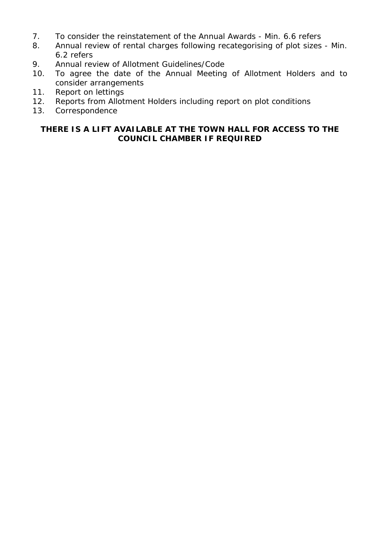- 7. To consider the reinstatement of the Annual Awards Min. 6.6 refers
- 8. Annual review of rental charges following recategorising of plot sizes Min. 6.2 refers
- 9. Annual review of Allotment Guidelines/Code
- 10. To agree the date of the Annual Meeting of Allotment Holders and to consider arrangements
- 11. Report on lettings
- 12. Reports from Allotment Holders including report on plot conditions
- 13. Correspondence

**THERE IS A LIFT AVAILABLE AT THE TOWN HALL FOR ACCESS TO THE COUNCIL CHAMBER IF REQUIRED**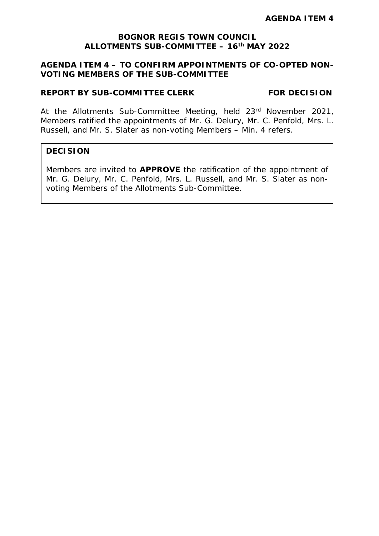#### **AGENDA ITEM 4 – TO CONFIRM APPOINTMENTS OF CO-OPTED NON-VOTING MEMBERS OF THE SUB-COMMITTEE**

**REPORT BY SUB-COMMITTEE CLERK FOR DECISION**

At the Allotments Sub-Committee Meeting, held 23rd November 2021, Members ratified the appointments of Mr. G. Delury, Mr. C. Penfold, Mrs. L. Russell, and Mr. S. Slater as non-voting Members – Min. 4 refers.

#### **DECISION**

Members are invited to **APPROVE** the ratification of the appointment of Mr. G. Delury, Mr. C. Penfold, Mrs. L. Russell, and Mr. S. Slater as nonvoting Members of the Allotments Sub-Committee.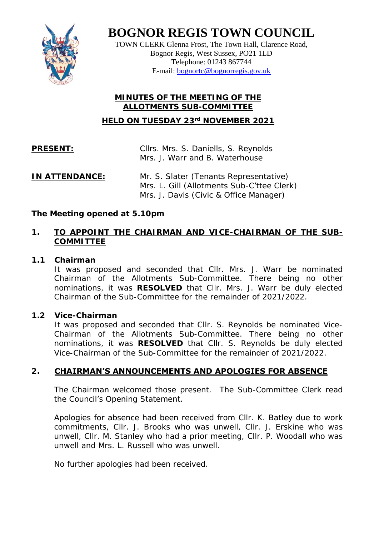

**BOGNOR REGIS TOWN COUNCIL**

TOWN CLERK Glenna Frost, The Town Hall, Clarence Road, Bognor Regis, West Sussex, PO21 1LD Telephone: 01243 867744 E-mail: [bognortc@bognorregis.gov.uk](mailto:bognortc@bognorregis.gov.uk)

**MINUTES OF THE MEETING OF THE ALLOTMENTS SUB-COMMITTEE**

**HELD ON TUESDAY 23rd NOVEMBER 2021**

PRESENT: Cllrs. Mrs. S. Daniells, S. Reynolds Mrs. J. Warr and B. Waterhouse

**IN ATTENDANCE:** Mr. S. Slater (Tenants Representative) Mrs. L. Gill (Allotments Sub-C'ttee Clerk) Mrs. J. Davis (Civic & Office Manager)

*The Meeting opened at 5.10pm*

# **1. TO APPOINT THE CHAIRMAN AND VICE-CHAIRMAN OF THE SUB-COMMITTEE**

**1.1 Chairman**

It was proposed and seconded that Cllr. Mrs. J. Warr be nominated Chairman of the Allotments Sub-Committee. There being no other nominations, it was **RESOLVED** that Cllr. Mrs. J. Warr be duly elected Chairman of the Sub-Committee for the remainder of 2021/2022.

**1.2 Vice-Chairman**

It was proposed and seconded that Cllr. S. Reynolds be nominated Vice-Chairman of the Allotments Sub-Committee. There being no other nominations, it was **RESOLVED** that Cllr. S. Reynolds be duly elected Vice-Chairman of the Sub-Committee for the remainder of 2021/2022.

# **2. CHAIRMAN'S ANNOUNCEMENTS AND APOLOGIES FOR ABSENCE**

The Chairman welcomed those present. The Sub-Committee Clerk read the Council's Opening Statement.

Apologies for absence had been received from Cllr. K. Batley due to work commitments, Cllr. J. Brooks who was unwell, Cllr. J. Erskine who was unwell, Cllr. M. Stanley who had a prior meeting, Cllr. P. Woodall who was unwell and Mrs. L. Russell who was unwell.

No further apologies had been received.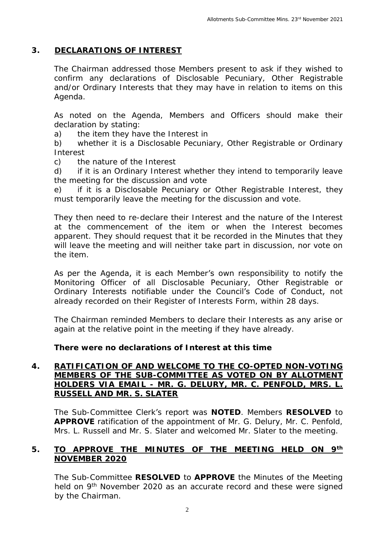# **3. DECLARATIONS OF INTEREST**

The Chairman addressed those Members present to ask if they wished to confirm any declarations of Disclosable Pecuniary, Other Registrable and/or Ordinary Interests that they may have in relation to items on this Agenda.

As noted on the Agenda, Members and Officers should make their declaration by stating:

a) the item they have the Interest in

b) whether it is a Disclosable Pecuniary, Other Registrable or Ordinary Interest

c) the nature of the Interest

d) if it is an Ordinary Interest whether they intend to temporarily leave the meeting for the discussion and vote

e) if it is a Disclosable Pecuniary or Other Registrable Interest, they must temporarily leave the meeting for the discussion and vote.

They then need to re-declare their Interest and the nature of the Interest at the commencement of the item or when the Interest becomes apparent. They should request that it be recorded in the Minutes that they will leave the meeting and will neither take part in discussion, nor vote on the item.

As per the Agenda, it is each Member's own responsibility to notify the Monitoring Officer of all Disclosable Pecuniary, Other Registrable or Ordinary Interests notifiable under the Council's Code of Conduct, not already recorded on their Register of Interests Form, within 28 days.

The Chairman reminded Members to declare their Interests as any arise or again at the relative point in the meeting if they have already.

*There were no declarations of Interest at this time*

#### **4. RATIFICATION OF AND WELCOME TO THE CO-OPTED NON-VOTING MEMBERS OF THE SUB-COMMITTEE AS VOTED ON BY ALLOTMENT HOLDERS VIA EMAIL - MR. G. DELURY, MR. C. PENFOLD, MRS. L. RUSSELL AND MR. S. SLATER**

The Sub-Committee Clerk's report was **NOTED**. Members **RESOLVED** to **APPROVE** ratification of the appointment of Mr. G. Delury, Mr. C. Penfold, Mrs. L. Russell and Mr. S. Slater and welcomed Mr. Slater to the meeting.

### **5. TO APPROVE THE MINUTES OF THE MEETING HELD ON 9th NOVEMBER 2020**

The Sub-Committee **RESOLVED** to **APPROVE** the Minutes of the Meeting held on 9<sup>th</sup> November 2020 as an accurate record and these were signed by the Chairman.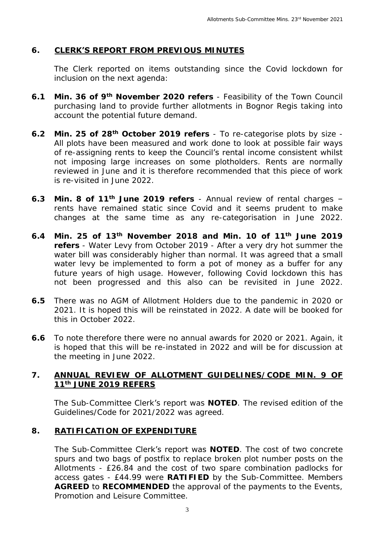# **6. CLERK'S REPORT FROM PREVIOUS MINUTES**

The Clerk reported on items outstanding since the Covid lockdown for inclusion on the next agenda:

- **6.1 Min. 36 of 9th November 2020 refers** Feasibility of the Town Council purchasing land to provide further allotments in Bognor Regis taking into account the potential future demand.
- **6.2 Min. 25 of 28th October 2019 refers** To re-categorise plots by size All plots have been measured and work done to look at possible fair ways of re-assigning rents to keep the Council's rental income consistent whilst not imposing large increases on some plotholders. Rents are normally reviewed in June and it is therefore recommended that this piece of work is re-visited in June 2022.
- **6.3 Min. 8 of 11th June 2019 refers** Annual review of rental charges rents have remained static since Covid and it seems prudent to make changes at the same time as any re-categorisation in June 2022.
- **6.4 Min. 25 of 13th November 2018 and Min. 10 of 11th June 2019 refers** - Water Levy from October 2019 - After a very dry hot summer the water bill was considerably higher than normal. It was agreed that a small water levy be implemented to form a pot of money as a buffer for any future years of high usage. However, following Covid lockdown this has not been progressed and this also can be revisited in June 2022.
- **6.5** There was no AGM of Allotment Holders due to the pandemic in 2020 or 2021. It is hoped this will be reinstated in 2022. A date will be booked for this in October 2022.
- **6.6** To note therefore there were no annual awards for 2020 or 2021. Again, it is hoped that this will be re-instated in 2022 and will be for discussion at the meeting in June 2022.

#### **7. ANNUAL REVIEW OF ALLOTMENT GUIDELINES/CODE MIN. 9 OF 11th JUNE 2019 REFERS**

The Sub-Committee Clerk's report was **NOTED**. The revised edition of the Guidelines/Code for 2021/2022 was agreed.

#### **8. RATIFICATION OF EXPENDITURE**

The Sub-Committee Clerk's report was **NOTED**. The cost of two concrete spurs and two bags of postfix to replace broken plot number posts on the Allotments - £26.84 and the cost of two spare combination padlocks for access gates - £44.99 were **RATIFIED** by the Sub-Committee. Members **AGREED** to **RECOMMENDED** the approval of the payments to the Events, Promotion and Leisure Committee.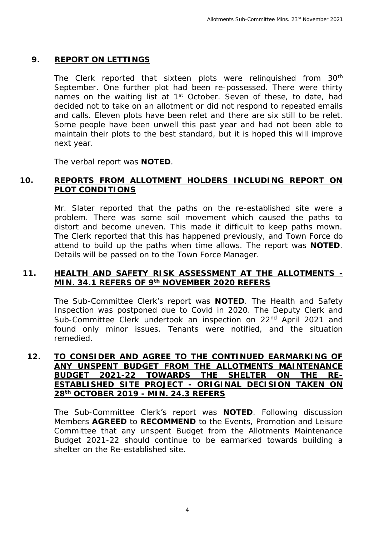#### **9. REPORT ON LETTINGS**

The Clerk reported that sixteen plots were relinquished from 30<sup>th</sup> September. One further plot had been re-possessed. There were thirty names on the waiting list at 1<sup>st</sup> October. Seven of these, to date, had decided not to take on an allotment or did not respond to repeated emails and calls. Eleven plots have been relet and there are six still to be relet. Some people have been unwell this past year and had not been able to maintain their plots to the best standard, but it is hoped this will improve next year.

The verbal report was **NOTED**.

#### **10. REPORTS FROM ALLOTMENT HOLDERS INCLUDING REPORT ON PLOT CONDITIONS**

Mr. Slater reported that the paths on the re-established site were a problem. There was some soil movement which caused the paths to distort and become uneven. This made it difficult to keep paths mown. The Clerk reported that this has happened previously, and Town Force do attend to build up the paths when time allows. The report was **NOTED**. Details will be passed on to the Town Force Manager.

#### **11. HEALTH AND SAFETY RISK ASSESSMENT AT THE ALLOTMENTS - MIN. 34.1 REFERS OF 9th NOVEMBER 2020 REFERS**

The Sub-Committee Clerk's report was **NOTED**. The Health and Safety Inspection was postponed due to Covid in 2020. The Deputy Clerk and Sub-Committee Clerk undertook an inspection on 22<sup>nd</sup> April 2021 and found only minor issues. Tenants were notified, and the situation remedied.

#### **12. TO CONSIDER AND AGREE TO THE CONTINUED EARMARKING OF ANY UNSPENT BUDGET FROM THE ALLOTMENTS MAINTENANCE BUDGET 2021-22 TOWARDS THE SHELTER ON THE RE-ESTABLISHED SITE PROJECT - ORIGINAL DECISION TAKEN ON 28th OCTOBER 2019 - MIN. 24.3 REFERS**

The Sub-Committee Clerk's report was **NOTED**. Following discussion Members **AGREED** to **RECOMMEND** to the Events, Promotion and Leisure Committee that any unspent Budget from the Allotments Maintenance Budget 2021-22 should continue to be earmarked towards building a shelter on the Re-established site.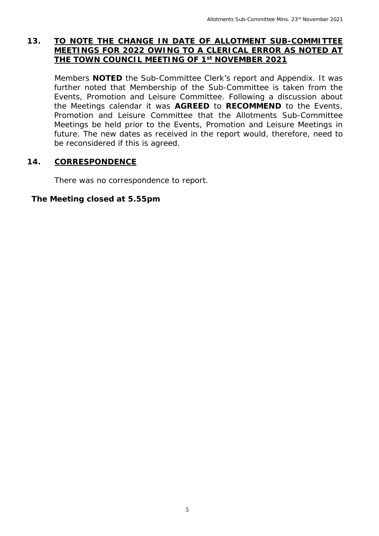#### **13. TO NOTE THE CHANGE IN DATE OF ALLOTMENT SUB-COMMITTEE MEETINGS FOR 2022 OWING TO A CLERICAL ERROR AS NOTED AT THE TOWN COUNCIL MEETING OF 1st NOVEMBER 2021**

Members **NOTED** the Sub-Committee Clerk's report and Appendix. It was further noted that Membership of the Sub-Committee is taken from the Events, Promotion and Leisure Committee. Following a discussion about the Meetings calendar it was **AGREED** to **RECOMMEND** to the Events, Promotion and Leisure Committee that the Allotments Sub-Committee Meetings be held prior to the Events, Promotion and Leisure Meetings in future. The new dates as received in the report would, therefore, need to be reconsidered if this is agreed.

### **14. CORRESPONDENCE**

There was no correspondence to report.

*The Meeting closed at 5.55pm*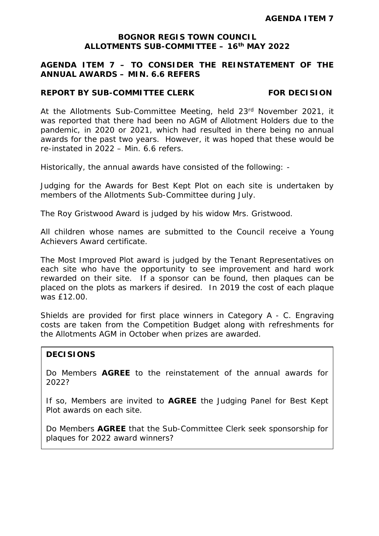#### **AGENDA ITEM 7 – TO CONSIDER THE REINSTATEMENT OF THE ANNUAL AWARDS – MIN. 6.6 REFERS**

#### **REPORT BY SUB-COMMITTEE CLERK FOR DECISION**

At the Allotments Sub-Committee Meeting, held 23rd November 2021, it was reported that there had been no AGM of Allotment Holders due to the pandemic, in 2020 or 2021, which had resulted in there being no annual awards for the past two years. However, it was hoped that these would be re-instated in 2022 – Min. 6.6 refers.

Historically, the annual awards have consisted of the following: -

Judging for the Awards for Best Kept Plot on each site is undertaken by members of the Allotments Sub-Committee during July.

The Roy Gristwood Award is judged by his widow Mrs. Gristwood.

All children whose names are submitted to the Council receive a Young Achievers Award certificate.

The Most Improved Plot award is judged by the Tenant Representatives on each site who have the opportunity to see improvement and hard work rewarded on their site. If a sponsor can be found, then plaques can be placed on the plots as markers if desired. In 2019 the cost of each plaque was £12.00.

Shields are provided for first place winners in Category A - C. Engraving costs are taken from the Competition Budget along with refreshments for the Allotments AGM in October when prizes are awarded.

#### **DECISIONS**

Do Members **AGREE** to the reinstatement of the annual awards for 2022?

If so, Members are invited to **AGREE** the Judging Panel for Best Kept Plot awards on each site.

Do Members **AGREE** that the Sub-Committee Clerk seek sponsorship for plaques for 2022 award winners?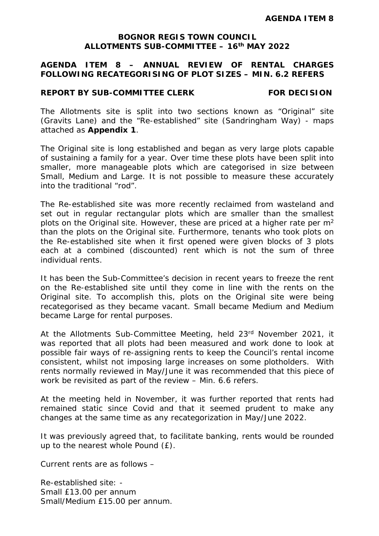#### **AGENDA ITEM 8 – ANNUAL REVIEW OF RENTAL CHARGES FOLLOWING RECATEGORISING OF PLOT SIZES – MIN. 6.2 REFERS**

#### **REPORT BY SUB-COMMITTEE CLERK FOR DECISION**

The Allotments site is split into two sections known as "Original" site (Gravits Lane) and the "Re-established" site (Sandringham Way) - maps attached as **Appendix 1**.

The Original site is long established and began as very large plots capable of sustaining a family for a year. Over time these plots have been split into smaller, more manageable plots which are categorised in size between Small, Medium and Large. It is not possible to measure these accurately into the traditional "rod".

The Re-established site was more recently reclaimed from wasteland and set out in regular rectangular plots which are smaller than the smallest plots on the Original site. However, these are priced at a higher rate per  $m<sup>2</sup>$ than the plots on the Original site. Furthermore, tenants who took plots on the Re-established site when it first opened were given blocks of 3 plots each at a combined (discounted) rent which is not the sum of three individual rents.

It has been the Sub-Committee's decision in recent years to freeze the rent on the Re-established site until they come in line with the rents on the Original site. To accomplish this, plots on the Original site were being recategorised as they became vacant. Small became Medium and Medium became Large for rental purposes.

At the Allotments Sub-Committee Meeting, held 23rd November 2021, it was reported that all plots had been measured and work done to look at possible fair ways of re-assigning rents to keep the Council's rental income consistent, whilst not imposing large increases on some plotholders. With rents normally reviewed in May/June it was recommended that this piece of work be revisited as part of the review – Min. 6.6 refers.

At the meeting held in November, it was further reported that rents had remained static since Covid and that it seemed prudent to make any changes at the same time as any recategorization in May/June 2022.

It was previously agreed that, to facilitate banking, rents would be rounded up to the nearest whole Pound (£).

Current rents are as follows –

Re-established site: - Small £13.00 per annum Small/Medium £15.00 per annum.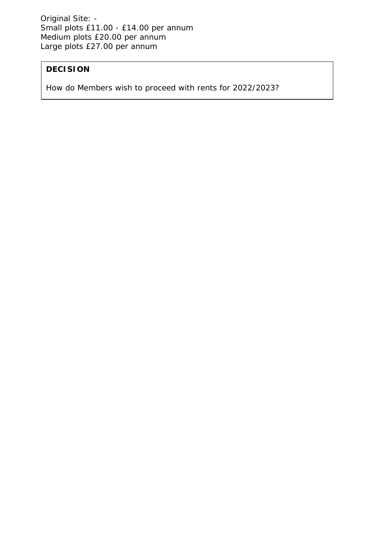Original Site: - Small plots £11.00 - £14.00 per annum Medium plots £20.00 per annum Large plots £27.00 per annum

# **DECISION**

How do Members wish to proceed with rents for 2022/2023?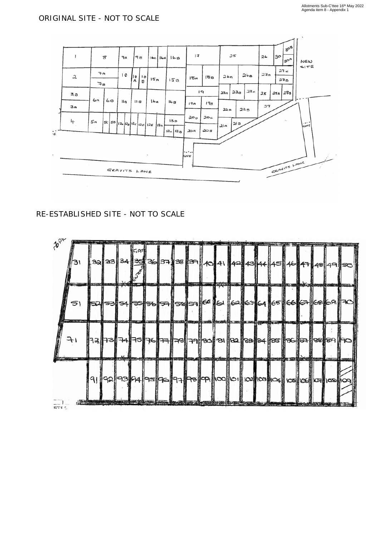#### ORIGINAL SITE - NOT TO SCALE



#### RE-ESTABLISHED SITE - NOT TO SCALE

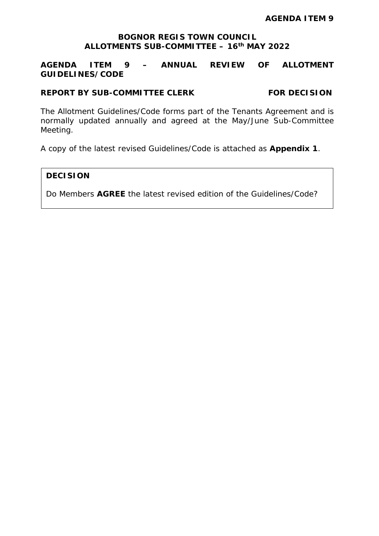**AGENDA ITEM 9 – ANNUAL REVIEW OF ALLOTMENT GUIDELINES/CODE**

**REPORT BY SUB-COMMITTEE CLERK FOR DECISION**

The Allotment Guidelines/Code forms part of the Tenants Agreement and is normally updated annually and agreed at the May/June Sub-Committee Meeting.

A copy of the latest revised Guidelines/Code is attached as **Appendix 1**.

#### **DECISION**

Do Members **AGREE** the latest revised edition of the Guidelines/Code?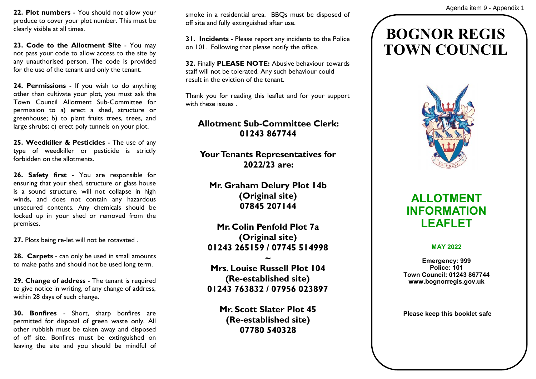**22. Plot numbers** - You should not allow your produce to cover your plot number. This must be clearly visible at all times.

**23. Code to the Allotment Site** - You may not pass your code to allow access to the site by any unauthorised person. The code is provided for the use of the tenant and only the tenant.

**24. Permissions** - If you wish to do anything other than cultivate your plot, you must ask the Town Council Allotment Sub-Committee for permission to a) erect a shed, structure or greenhouse; b) to plant fruits trees, trees, and large shrubs; c) erect poly tunnels on your plot.

**25. Weedkiller & Pesticides** - The use of any type of weedkiller or pesticide is strictly forbidden on the allotments.

26. Safety first - You are responsible for ensuring that your shed, structure or glass house is a sound structure, will not collapse in high winds, and does not contain any hazardous unsecured contents. Any chemicals should be locked up in your shed or removed from the premises.

**27.** Plots being re-let will not be rotavated .

**28. Carpets** - can only be used in small amounts to make paths and should not be used long term.

**29. Change of address** - The tenant is required to give notice in writing, of any change of address, within 28 days of such change.

**30. Bonfires** - Short, sharp bonfires are permitted for disposal of green waste only. All other rubbish must be taken away and disposed of off site. Bonfires must be extinguished on leaving the site and you should be mindful of

smoke in a residential area. BBQs must be disposed of off site and fully extinguished after use.

**31. Incidents** - Please report any incidents to the Police on 101. Following that please notify the office.

**32.** Finally **PLEASE NOTE:** Abusive behaviour towards staff will not be tolerated. Any such behaviour could result in the eviction of the tenant.

Thank you for reading this leaflet and for your support with these issues .

# **Allotment Sub-Committee Clerk: 01243 867744**

# **Your Tenants Representatives for 2022/23 are:**

**Mr. Graham Delury Plot 14b (Original site) 07845 207144** 

**Mr. Colin Penfold Plot 7a (Original site) 01243 265159 / 07745 514998** 

**~ Mrs. Louise Russell Plot 104 (Re-established site) 01243 763832 / 07956 023897** 

**Mr. Scott Slater Plot 45 (Re-established site) 07780 540328** 

# **BOGNOR REGIS TOWN COUNCIL**



# **ALLOTMENT INFORMATION LEAFLET**

#### **MAY 2022**

**Emergency: 999 Police: 101 Town Council: 01243 867744 www.bognorregis.gov.uk**

**Please keep this booklet safe**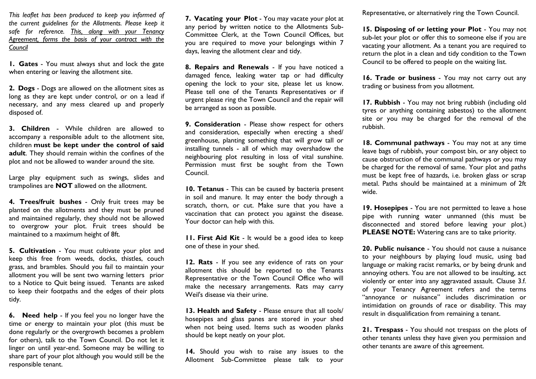*This leaflet has been produced to keep you informed of the current guidelines for the Allotments. Please keep it safe for reference. This, along with your Tenancy Agreement, forms the basis of your contract with the Council*

**1. Gates** - You must always shut and lock the gate when entering or leaving the allotment site.

**2. Dogs** - Dogs are allowed on the allotment sites as long as they are kept under control, or on a lead if necessary, and any mess cleared up and properly disposed of.

**3. Children** - While children are allowed to accompany a responsible adult to the allotment site, children **must be kept under the control of said adult**. They should remain within the confines of the plot and not be allowed to wander around the site.

Large play equipment such as swings, slides and trampolines are **NOT** allowed on the allotment.

**4. Trees/fruit bushes** - Only fruit trees may be planted on the allotments and they must be pruned and maintained regularly, they should not be allowed to overgrow your plot. Fruit trees should be maintained to a maximum height of 8ft.

**5. Cultivation** - You must cultivate your plot and keep this free from weeds, docks, thistles, couch grass, and brambles. Should you fail to maintain your allotment you will be sent two warning letters prior to a Notice to Quit being issued. Tenants are asked to keep their footpaths and the edges of their plots tidy.

**6. Need help** - If you feel you no longer have the time or energy to maintain your plot (this must be done regularly or the overgrowth becomes a problem for others), talk to the Town Council. Do not let it linger on until year-end. Someone may be willing to share part of your plot although you would still be the responsible tenant.

**7. Vacating your Plot** - You may vacate your plot at any period by written notice to the Allotments Sub-Committee Clerk, at the Town Council Offices, but you are required to move your belongings within 7 days, leaving the allotment clear and tidy.

**8. Repairs and Renewals** - If you have noticed a damaged fence, leaking water tap or had difficulty opening the lock to your site, please let us know. Please tell one of the Tenants Representatives or if urgent please ring the Town Council and the repair will be arranged as soon as possible.

**9. Consideration** - Please show respect for others and consideration, especially when erecting a shed/ greenhouse, planting something that will grow tall or installing tunnels - all of which may overshadow the neighbouring plot resulting in loss of vital sunshine. Permission must first be sought from the Town Council.

**10. Tetanus** - This can be caused by bacteria present in soil and manure. It may enter the body through a scratch, thorn, or cut. Make sure that you have a vaccination that can protect you against the disease. Your doctor can help with this.

**11. First Aid Kit** - It would be a good idea to keep one of these in your shed.

**12. Rats** - If you see any evidence of rats on your allotment this should be reported to the Tenants Representative or the Town Council Office who will make the necessary arrangements. Rats may carry Weil's disease via their urine.

**13. Health and Safety** - Please ensure that all tools/ hosepipes and glass panes are stored in your shed when not being used. Items such as wooden planks should be kept neatly on your plot.

**14.** Should you wish to raise any issues to the Allotment Sub-Committee please talk to your

Representative, or alternatively ring the Town Council.

**15. Disposing of or letting your Plot** - You may not sub-let your plot or offer this to someone else if you are vacating your allotment. As a tenant you are required to return the plot in a clean and tidy condition to the Town Council to be offered to people on the waiting list.

**16. Trade or business** - You may not carry out any trading or business from you allotment.

**17. Rubbish** - You may not bring rubbish (including old tyres or anything containing asbestos) to the allotment site or you may be charged for the removal of the rubbish.

**18. Communal pathways** - You may not at any time leave bags of rubbish, your compost bin, or any object to cause obstruction of the communal pathways or you may be charged for the removal of same. Your plot and paths must be kept free of hazards, i.e. broken glass or scrap metal. Paths should be maintained at a minimum of 2ft wide.

**19. Hosepipes** - You are not permitted to leave a hose pipe with running water unmanned (this must be disconnected and stored before leaving your plot.) **PLEASE NOTE:** Watering cans are to take priority.

**20. Public nuisance** - You should not cause a nuisance to your neighbours by playing loud music, using bad language or making racist remarks, or by being drunk and annoying others. You are not allowed to be insulting, act violently or enter into any aggravated assault. Clause 3.f. of your Tenancy Agreement refers and the terms "annoyance or nuisance" includes discrimination or intimidation on grounds of race or disability. This may result in disqualification from remaining a tenant.

**21. Trespass** - You should not trespass on the plots of other tenants unless they have given you permission and other tenants are aware of this agreement.